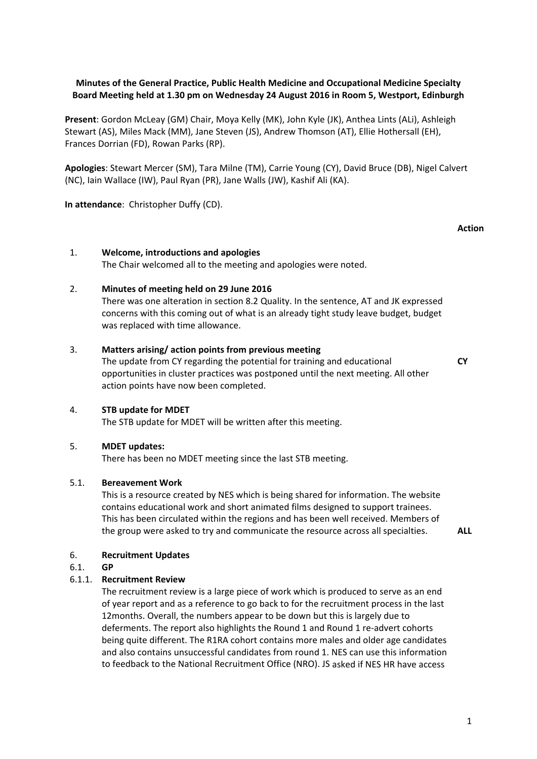# **Minutes of the General Practice, Public Health Medicine and Occupational Medicine Specialty Board Meeting held at 1.30 pm on Wednesday 24 August 2016 in Room 5, Westport, Edinburgh**

**Present**: Gordon McLeay (GM) Chair, Moya Kelly (MK), John Kyle (JK), Anthea Lints (ALi), Ashleigh Stewart (AS), Miles Mack (MM), Jane Steven (JS), Andrew Thomson (AT), Ellie Hothersall (EH), Frances Dorrian (FD), Rowan Parks (RP).

**Apologies**: Stewart Mercer (SM), Tara Milne (TM), Carrie Young (CY), David Bruce (DB), Nigel Calvert (NC), Iain Wallace (IW), Paul Ryan (PR), Jane Walls (JW), Kashif Ali (KA).

**In attendance**: Christopher Duffy (CD).

### **Action**

**CY**

# 1. **Welcome, introductions and apologies**

The Chair welcomed all to the meeting and apologies were noted.

### 2. **Minutes of meeting held on 29 June 2016**

There was one alteration in section 8.2 Quality. In the sentence, AT and JK expressed concerns with this coming out of what is an already tight study leave budget, budget was replaced with time allowance.

### 3. **Matters arising/ action points from previous meeting**

The update from CY regarding the potential for training and educational opportunities in cluster practices was postponed until the next meeting. All other action points have now been completed.

# 4. **STB update for MDET**

The STB update for MDET will be written after this meeting.

# 5. **MDET updates:**

There has been no MDET meeting since the last STB meeting.

#### 5.1. **Bereavement Work**

This is a resource created by NES which is being shared for information. The website contains educational work and short animated films designed to support trainees. This has been circulated within the regions and has been well received. Members of the group were asked to try and communicate the resource across all specialties. **ALL**

# 6. **Recruitment Updates**

## 6.1. **GP**

# 6.1.1. **Recruitment Review**

The recruitment review is a large piece of work which is produced to serve as an end of year report and as a reference to go back to for the recruitment process in the last 12months. Overall, the numbers appear to be down but this is largely due to deferments. The report also highlights the Round 1 and Round 1 re-advert cohorts being quite different. The R1RA cohort contains more males and older age candidates and also contains unsuccessful candidates from round 1. NES can use this information to feedback to the National Recruitment Office (NRO). JS asked if NES HR have access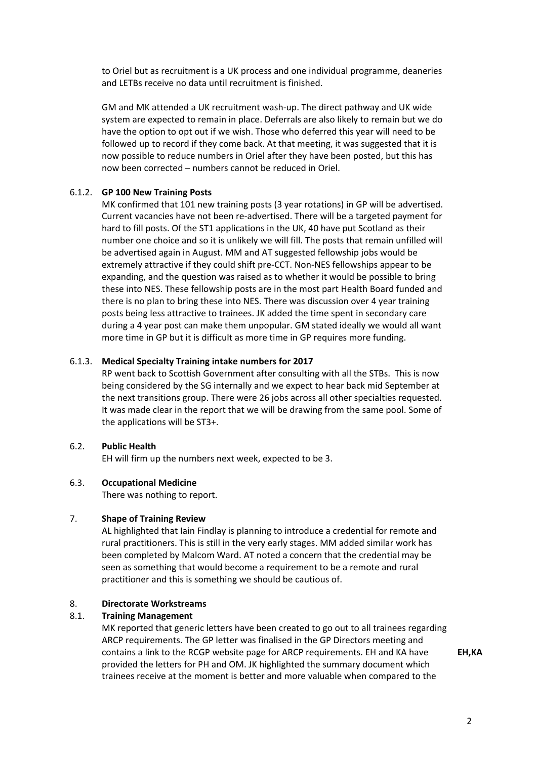to Oriel but as recruitment is a UK process and one individual programme, deaneries and LETBs receive no data until recruitment is finished.

GM and MK attended a UK recruitment wash‐up. The direct pathway and UK wide system are expected to remain in place. Deferrals are also likely to remain but we do have the option to opt out if we wish. Those who deferred this year will need to be followed up to record if they come back. At that meeting, it was suggested that it is now possible to reduce numbers in Oriel after they have been posted, but this has now been corrected – numbers cannot be reduced in Oriel.

## 6.1.2. **GP 100 New Training Posts**

MK confirmed that 101 new training posts (3 year rotations) in GP will be advertised. Current vacancies have not been re‐advertised. There will be a targeted payment for hard to fill posts. Of the ST1 applications in the UK, 40 have put Scotland as their number one choice and so it is unlikely we will fill. The posts that remain unfilled will be advertised again in August. MM and AT suggested fellowship jobs would be extremely attractive if they could shift pre‐CCT. Non‐NES fellowships appear to be expanding, and the question was raised as to whether it would be possible to bring these into NES. These fellowship posts are in the most part Health Board funded and there is no plan to bring these into NES. There was discussion over 4 year training posts being less attractive to trainees. JK added the time spent in secondary care during a 4 year post can make them unpopular. GM stated ideally we would all want more time in GP but it is difficult as more time in GP requires more funding.

### 6.1.3. **Medical Specialty Training intake numbers for 2017**

RP went back to Scottish Government after consulting with all the STBs. This is now being considered by the SG internally and we expect to hear back mid September at the next transitions group. There were 26 jobs across all other specialties requested. It was made clear in the report that we will be drawing from the same pool. Some of the applications will be ST3+.

# 6.2. **Public Health**

EH will firm up the numbers next week, expected to be 3.

#### 6.3. **Occupational Medicine**

There was nothing to report.

#### 7. **Shape of Training Review**

AL highlighted that Iain Findlay is planning to introduce a credential for remote and rural practitioners. This is still in the very early stages. MM added similar work has been completed by Malcom Ward. AT noted a concern that the credential may be seen as something that would become a requirement to be a remote and rural practitioner and this is something we should be cautious of.

### 8. **Directorate Workstreams**

# 8.1. **Training Management**

MK reported that generic letters have been created to go out to all trainees regarding ARCP requirements. The GP letter was finalised in the GP Directors meeting and contains a link to the RCGP website page for ARCP requirements. EH and KA have provided the letters for PH and OM. JK highlighted the summary document which trainees receive at the moment is better and more valuable when compared to the

**EH,KA**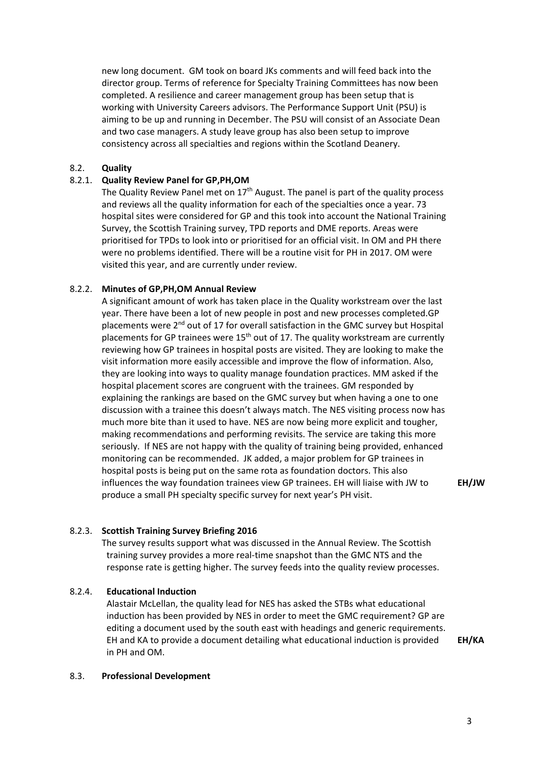new long document. GM took on board JKs comments and will feed back into the director group. Terms of reference for Specialty Training Committees has now been completed. A resilience and career management group has been setup that is working with University Careers advisors. The Performance Support Unit (PSU) is aiming to be up and running in December. The PSU will consist of an Associate Dean and two case managers. A study leave group has also been setup to improve consistency across all specialties and regions within the Scotland Deanery.

## 8.2. **Quality**

### 8.2.1. **Quality Review Panel for GP,PH,OM**

The Quality Review Panel met on  $17<sup>th</sup>$  August. The panel is part of the quality process and reviews all the quality information for each of the specialties once a year. 73 hospital sites were considered for GP and this took into account the National Training Survey, the Scottish Training survey, TPD reports and DME reports. Areas were prioritised for TPDs to look into or prioritised for an official visit. In OM and PH there were no problems identified. There will be a routine visit for PH in 2017. OM were visited this year, and are currently under review.

### 8.2.2. **Minutes of GP,PH,OM Annual Review**

A significant amount of work has taken place in the Quality workstream over the last year. There have been a lot of new people in post and new processes completed.GP placements were  $2^{nd}$  out of 17 for overall satisfaction in the GMC survey but Hospital placements for GP trainees were  $15<sup>th</sup>$  out of 17. The quality workstream are currently reviewing how GP trainees in hospital posts are visited. They are looking to make the visit information more easily accessible and improve the flow of information. Also, they are looking into ways to quality manage foundation practices. MM asked if the hospital placement scores are congruent with the trainees. GM responded by explaining the rankings are based on the GMC survey but when having a one to one discussion with a trainee this doesn't always match. The NES visiting process now has much more bite than it used to have. NES are now being more explicit and tougher, making recommendations and performing revisits. The service are taking this more seriously. If NES are not happy with the quality of training being provided, enhanced monitoring can be recommended. JK added, a major problem for GP trainees in hospital posts is being put on the same rota as foundation doctors. This also influences the way foundation trainees view GP trainees. EH will liaise with JW to produce a small PH specialty specific survey for next year's PH visit.

**EH/JW**

# 8.2.3. **Scottish Training Survey Briefing 2016**

The survey results support what was discussed in the Annual Review. The Scottish training survey provides a more real‐time snapshot than the GMC NTS and the response rate is getting higher. The survey feeds into the quality review processes.

#### 8.2.4. **Educational Induction**

Alastair McLellan, the quality lead for NES has asked the STBs what educational induction has been provided by NES in order to meet the GMC requirement? GP are editing a document used by the south east with headings and generic requirements. EH and KA to provide a document detailing what educational induction is provided in PH and OM.

**EH/KA**

#### 8.3. **Professional Development**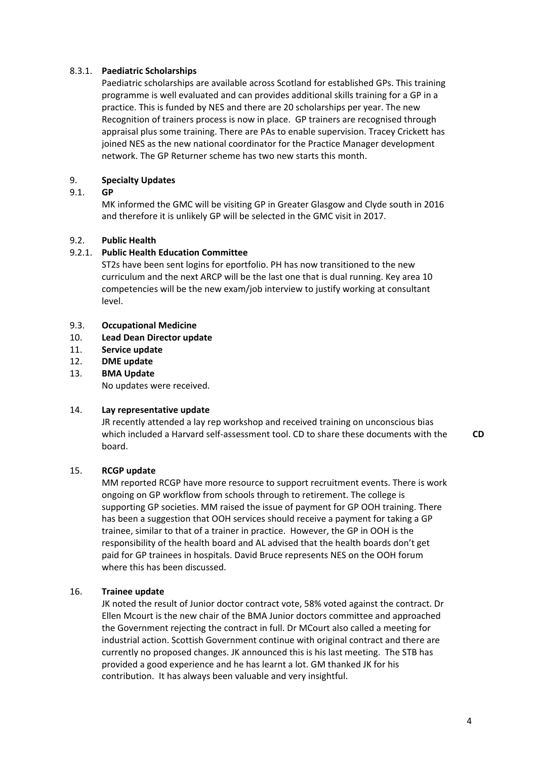# 8.3.1. **Paediatric Scholarships**

Paediatric scholarships are available across Scotland for established GPs. This training programme is well evaluated and can provides additional skills training for a GP in a practice. This is funded by NES and there are 20 scholarships per year. The new Recognition of trainers process is now in place. GP trainers are recognised through appraisal plus some training. There are PAs to enable supervision. Tracey Crickett has joined NES as the new national coordinator for the Practice Manager development network. The GP Returner scheme has two new starts this month.

### 9. **Specialty Updates**

### 9.1. **GP**

MK informed the GMC will be visiting GP in Greater Glasgow and Clyde south in 2016 and therefore it is unlikely GP will be selected in the GMC visit in 2017.

### 9.2. **Public Health**

# 9.2.1. **Public Health Education Committee**

ST2s have been sent logins for eportfolio. PH has now transitioned to the new curriculum and the next ARCP will be the last one that is dual running. Key area 10 competencies will be the new exam/job interview to justify working at consultant level.

# 9.3. **Occupational Medicine**

- 10. **Lead Dean Director update**
- 11. **Service update**
- 12. **DME update**
- 13. **BMA Update**

No updates were received.

#### 14. **Lay representative update**

JR recently attended a lay rep workshop and received training on unconscious bias which included a Harvard self‐assessment tool. CD to share these documents with the board. **CD**

#### 15. **RCGP update**

MM reported RCGP have more resource to support recruitment events. There is work ongoing on GP workflow from schools through to retirement. The college is supporting GP societies. MM raised the issue of payment for GP OOH training. There has been a suggestion that OOH services should receive a payment for taking a GP trainee, similar to that of a trainer in practice. However, the GP in OOH is the responsibility of the health board and AL advised that the health boards don't get paid for GP trainees in hospitals. David Bruce represents NES on the OOH forum where this has been discussed.

# 16. **Trainee update**

JK noted the result of Junior doctor contract vote, 58% voted against the contract. Dr Ellen Mcourt is the new chair of the BMA Junior doctors committee and approached the Government rejecting the contract in full. Dr MCourt also called a meeting for industrial action. Scottish Government continue with original contract and there are currently no proposed changes. JK announced this is his last meeting. The STB has provided a good experience and he has learnt a lot. GM thanked JK for his contribution. It has always been valuable and very insightful.